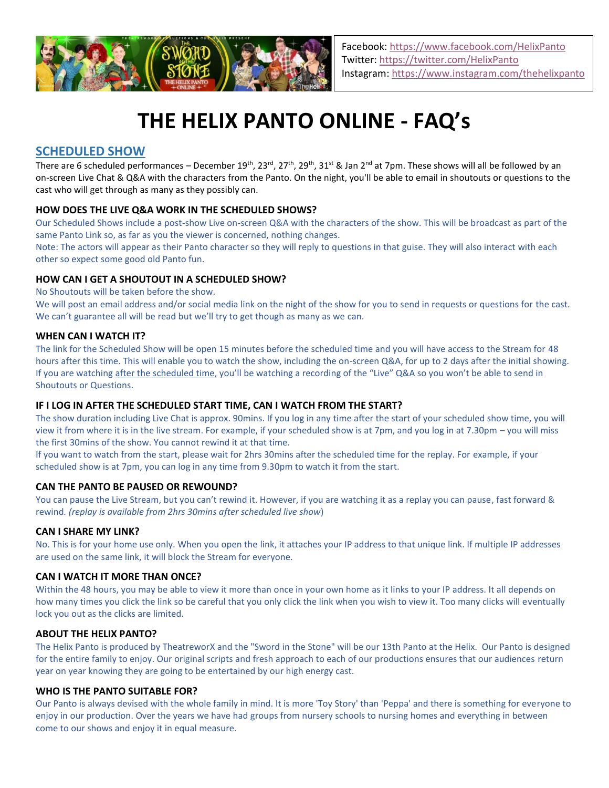

# **THE HELIX PANTO ONLINE - FAQ's**

## **SCHEDULED SHOW**

There are 6 scheduled performances – December  $19^{th}$ ,  $23^{rd}$ ,  $27^{th}$ ,  $29^{th}$ ,  $31^{st}$  & Jan  $2^{nd}$  at 7pm. These shows will all be followed by an on-screen Live Chat & Q&A with the characters from the Panto. On the night, you'll be able to email in shoutouts or questions to the cast who will get through as many as they possibly can.

## **HOW DOES THE LIVE Q&A WORK IN THE SCHEDULED SHOWS?**

Our Scheduled Shows include a post-show Live on-screen Q&A with the characters of the show. This will be broadcast as part of the same Panto Link so, as far as you the viewer is concerned, nothing changes.

Note: The actors will appear as their Panto character so they will reply to questions in that guise. They will also interact with each other so expect some good old Panto fun.

## **HOW CAN I GET A SHOUTOUT IN A SCHEDULED SHOW?**

No Shoutouts will be taken before the show.

We will post an email address and/or social media link on the night of the show for you to send in requests or questions for the cast. We can't guarantee all will be read but we'll try to get though as many as we can.

## **WHEN CAN I WATCH IT?**

The link for the Scheduled Show will be open 15 minutes before the scheduled time and you will have access to the Stream for 48 hours after this time. This will enable you to watch the show, including the on-screen Q&A, for up to 2 days after the initial showing. If you are watching after the scheduled time, you'll be watching a recording of the "Live" Q&A so you won't be able to send in Shoutouts or Questions.

## **IF I LOG IN AFTER THE SCHEDULED START TIME, CAN I WATCH FROM THE START?**

The show duration including Live Chat is approx. 90mins. If you log in any time after the start of your scheduled show time, you will view it from where it is in the live stream. For example, if your scheduled show is at 7pm, and you log in at 7.30pm – you will miss the first 30mins of the show. You cannot rewind it at that time.

If you want to watch from the start, please wait for 2hrs 30mins after the scheduled time for the replay. For example, if your scheduled show is at 7pm, you can log in any time from 9.30pm to watch it from the start.

## **CAN THE PANTO BE PAUSED OR REWOUND?**

You can pause the Live Stream, but you can't rewind it. However, if you are watching it as a replay you can pause, fast forward & rewind*. (replay is available from 2hrs 30mins after scheduled live show*)

## **CAN I SHARE MY LINK?**

No. This is for your home use only. When you open the link, it attaches your IP address to that unique link. If multiple IP addresses are used on the same link, it will block the Stream for everyone.

## **CAN I WATCH IT MORE THAN ONCE?**

Within the 48 hours, you may be able to view it more than once in your own home as it links to your IP address. It all depends on how many times you click the link so be careful that you only click the link when you wish to view it. Too many clicks will eventually lock you out as the clicks are limited.

#### **ABOUT THE HELIX PANTO?**

The Helix Panto is produced by TheatreworX and the "Sword in the Stone" will be our 13th Panto at the Helix. Our Panto is designed for the entire family to enjoy. Our original scripts and fresh approach to each of our productions ensures that our audiences return year on year knowing they are going to be entertained by our high energy cast.

#### **WHO IS THE PANTO SUITABLE FOR?**

Our Panto is always devised with the whole family in mind. It is more 'Toy Story' than 'Peppa' and there is something for everyone to enjoy in our production. Over the years we have had groups from nursery schools to nursing homes and everything in between come to our shows and enjoy it in equal measure.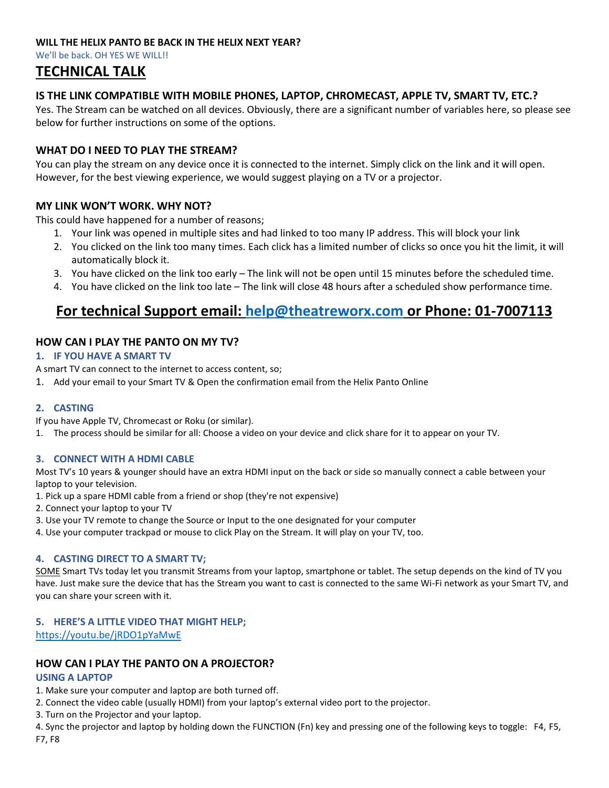## **WILL THE HELIX PANTO BE BACK IN THE HELIX NEXT YEAR?**

We'll be back. OH YES WE WILL!!

# **TECHNICAL TALK**

## **IS THE LINK COMPATIBLE WITH MOBILE PHONES, LAPTOP, CHROMECAST, APPLE TV, SMART TV, ETC.?**

Yes. The Stream can be watched on all devices. Obviously, there are a significant number of variables here, so please see below for further instructions on some of the options.

## **WHAT DO I NEED TO PLAY THE STREAM?**

You can play the stream on any device once it is connected to the internet. Simply click on the link and it will open. However, for the best viewing experience, we would suggest playing on a TV or a projector.

## **MY LINK WON'T WORK. WHY NOT?**

This could have happened for a number of reasons;

- 1. Your link was opened in multiple sites and had linked to too many IP address. This will block your link
- 2. You clicked on the link too many times. Each click has a limited number of clicks so once you hit the limit, it will automatically block it.
- 3. You have clicked on the link too early The link will not be open until 15 minutes before the scheduled time.
- 4. You have clicked on the link too late The link will close 48 hours after a scheduled show performance time.

# **For technical Support email: [help@theatreworx.com](mailto:help@theatreworx.com) or Phone: 01-7007113**

## **HOW CAN I PLAY THE PANTO ON MY TV?**

## **1. IF YOU HAVE A SMART TV**

A smart TV can connect to the internet to access content, so;

1. Add your email to your Smart TV & Open the confirmation email from the Helix Panto Online

## **2. CASTING**

If you have Apple TV, Chromecast or Roku (or similar).

1. The process should be similar for all: Choose a video on your device and click share for it to appear on your TV.

## **3. CONNECT WITH A HDMI CABLE**

Most TV's 10 years & younger should have an extra HDMI input on the back or side so manually connect a cable between your laptop to your television.

- 1. Pick up a spare HDMI cable from a friend or shop (they're not expensive)
- 2. Connect your laptop to your TV
- 3. Use your TV remote to change the Source or Input to the one designated for your computer
- 4. Use your computer trackpad or mouse to click Play on the Stream. It will play on your TV, too.

## **4. CASTING DIRECT TO A SMART TV;**

SOME Smart TVs today let you transmit Streams from your laptop, smartphone or tablet. The setup depends on the kind of TV you have. Just make sure the device that has the Stream you want to cast is connected to the same Wi-Fi network as your Smart TV, and you can share your screen with it.

## **5. HERE'S A LITTLE VIDEO THAT MIGHT HELP;**

<https://youtu.be/jRDO1pYaMwE>

## **HOW CAN I PLAY THE PANTO ON A PROJECTOR?**

## **USING A LAPTOP**

- 1. Make sure your computer and laptop are both turned off.
- 2. Connect the video cable (usually HDMI) from your laptop's external video port to the projector.
- 3. Turn on the Projector and your laptop.

4. Sync the projector and laptop by holding down the FUNCTION (Fn) key and pressing one of the following keys to toggle: F4, F5, F7, F8